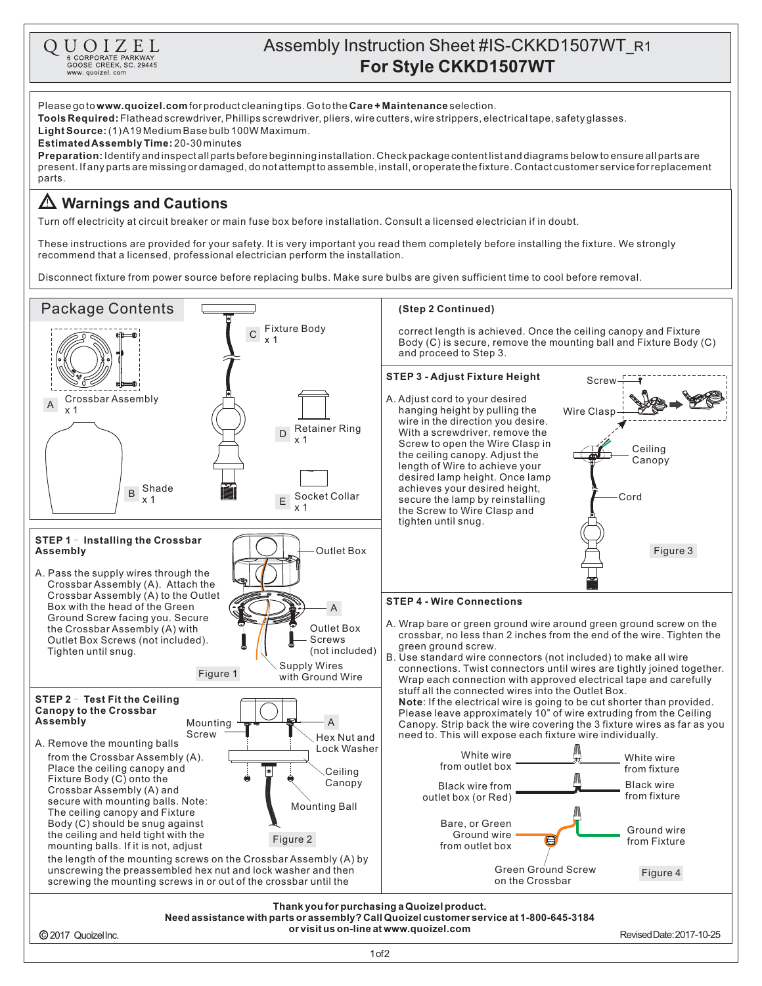



1of2

2017 QuoizelInc.

RevisedDate:2017-10-25